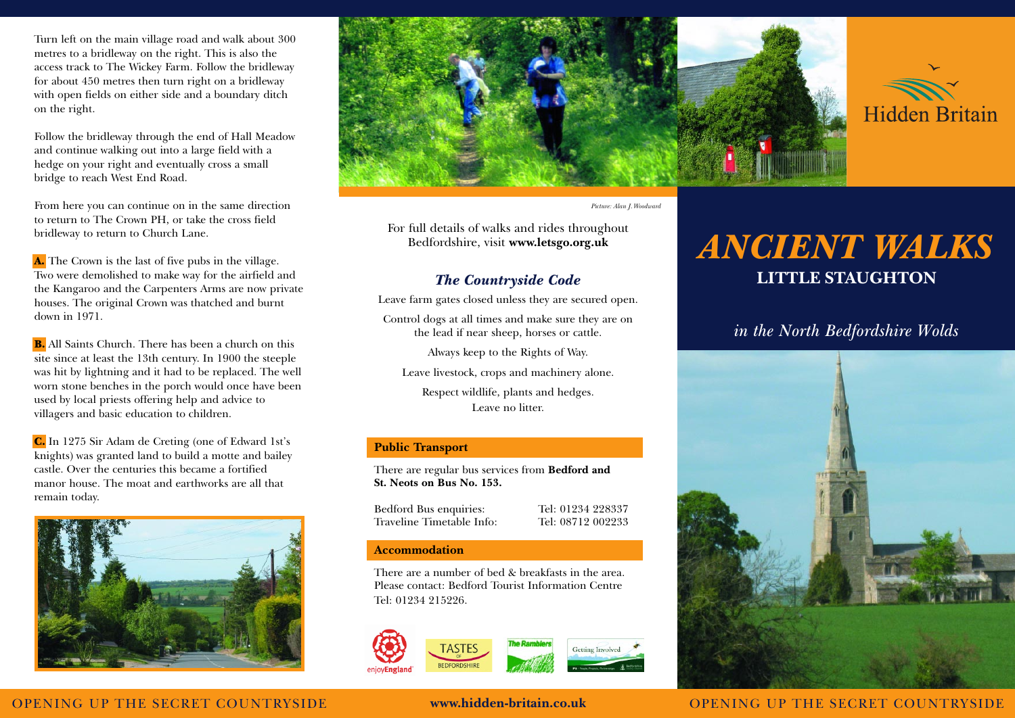Turn left on the main village road and walk about 300 metres to a bridleway on the right. This is also the access track to The Wickey Farm. Follow the bridleway for about 450 metres then turn right on a bridleway with open fields on either side and a boundary ditch on the right.

Follow the bridleway through the end of Hall Meadow and continue walking out into a large field with a hedge on your right and eventually cross a small bridge to reach West End Road.

From here you can continue on in the same direction to return to The Crown PH, or take the cross field bridleway to return to Church Lane.

A. The Crown is the last of five pubs in the village. Two were demolished to make way for the airfield and the Kangaroo and the Carpenters Arms are now private houses. The original Crown was thatched and burnt down in 1971.

B. All Saints Church. There has been a church on this site since at least the 13th century. In 1900 the steeple was hit by lightning and it had to be replaced. The well worn stone benches in the porch would once have been used by local priests offering help and advice to villagers and basic education to children.

C. In 1275 Sir Adam de Creting (one of Edward 1st's knights) was granted land to build a motte and bailey castle. Over the centuries this became a fortified manor house. The moat and earthworks are all that remain today.





*Picture: Alan J.Woodward*

For full details of walks and rides throughout Bedfordshire, visit **www.letsgo.org.uk**

# *The Countryside Code*

Leave farm gates closed unless they are secured open.

Control dogs at all times and make sure they are on the lead if near sheep, horses or cattle.

Always keep to the Rights of Way.

Leave livestock, crops and machinery alone.

Respect wildlife, plants and hedges. Leave no litter.

# **Public Transport**

There are regular bus services from **Bedford and St. Neots on Bus No. 153.**

Bedford Bus enquiries: Tel: 01234 228337 Traveline Timetable Info: Tel: 08712 002233

## **Accommodation**

There are a number of bed & breakfasts in the area. Please contact: Bedford Tourist Information Centre Tel: 01234 215226.



# *ANCIENT WALKS* **LITTLE STAUGHTON**

# *in the North Bedfordshire Wolds*



OPENING UP THE SECRET COUNTRYSIDE **www.hidden-britain.co.uk** OPENING UP THE SECRET COUNTRYSIDE